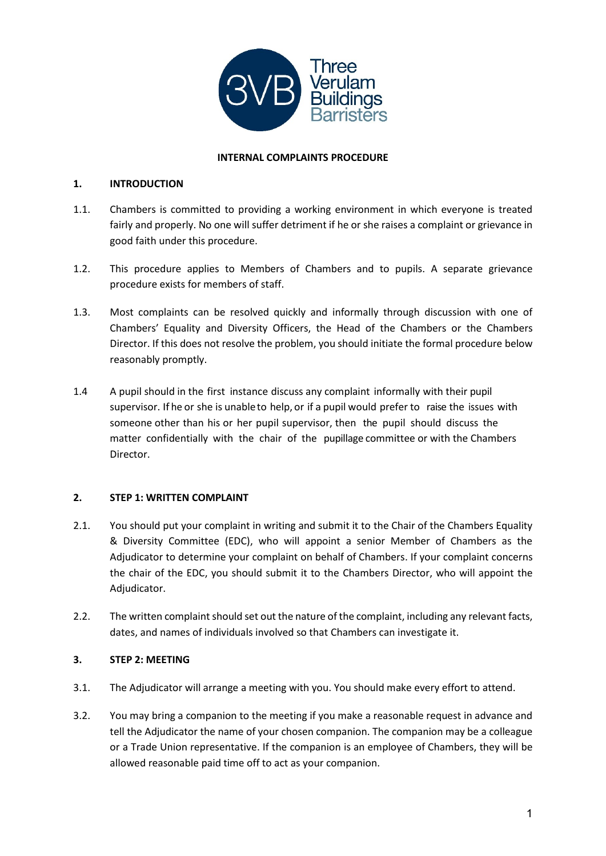

### **INTERNAL COMPLAINTS PROCEDURE**

### **1. INTRODUCTION**

- 1.1. Chambers is committed to providing a working environment in which everyone is treated fairly and properly. No one will suffer detriment if he or she raises a complaint or grievance in good faith under this procedure.
- 1.2. This procedure applies to Members of Chambers and to pupils. A separate grievance procedure exists for members of staff.
- 1.3. Most complaints can be resolved quickly and informally through discussion with one of Chambers' Equality and Diversity Officers, the Head of the Chambers or the Chambers Director. If this does not resolve the problem, you should initiate the formal procedure below reasonably promptly.
- 1.4 A pupil should in the first instance discuss any complaint informally with their pupil supervisor. If he or she is unableto help, or if a pupil would prefer to raise the issues with someone other than his or her pupil supervisor, then the pupil should discuss the matter confidentially with the chair of the pupillage committee or with the Chambers Director.

# **2. STEP 1: WRITTEN COMPLAINT**

- 2.1. You should put your complaint in writing and submit it to the Chair of the Chambers Equality & Diversity Committee (EDC), who will appoint a senior Member of Chambers as the Adjudicator to determine your complaint on behalf of Chambers. If your complaint concerns the chair of the EDC, you should submit it to the Chambers Director, who will appoint the Adjudicator.
- 2.2. The written complaint should set out the nature of the complaint, including any relevant facts, dates, and names of individuals involved so that Chambers can investigate it.

# **3. STEP 2: MEETING**

- 3.1. The Adjudicator will arrange a meeting with you. You should make every effort to attend.
- <span id="page-0-0"></span>3.2. You may bring a companion to the meeting if you make a reasonable request in advance and tell the Adjudicator the name of your chosen companion. The companion may be a colleague or a Trade Union representative. If the companion is an employee of Chambers, they will be allowed reasonable paid time off to act as your companion.